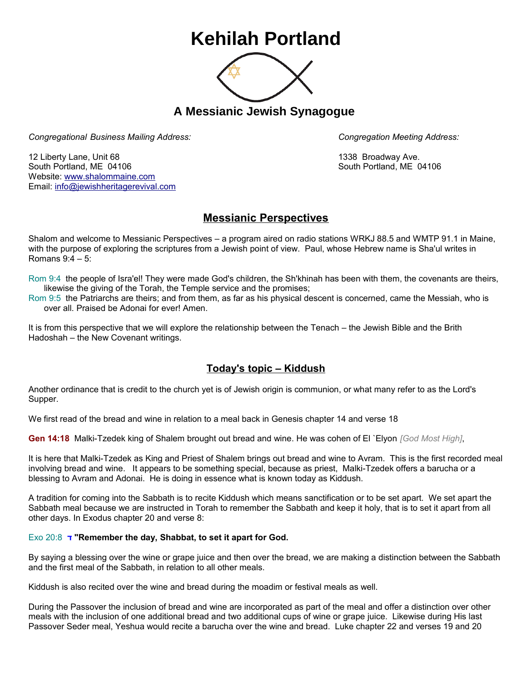## **Kehilah Portland**



**A Messianic Jewish Synagogue** 

*Congregational Business Mailing Address: Congregation Meeting Address:*

12 Liberty Lane, Unit 68 1338 Broadway Ave. South Portland, ME 04106 South Portland, ME 04106 Website: [www.shalommaine.com](http://www.shalommaine.com/) Email: [info@jewishheritagerevival.com](mailto:info@jewishheritagerevival.com) 

## **Messianic Perspectives**

Shalom and welcome to Messianic Perspectives – a program aired on radio stations WRKJ 88.5 and WMTP 91.1 in Maine, with the purpose of exploring the scriptures from a Jewish point of view. Paul, whose Hebrew name is Sha'ul writes in Romans 9:4 – 5:

Rom 9:4 the people of Isra'el! They were made God's children, the Sh'khinah has been with them, the covenants are theirs, likewise the giving of the Torah, the Temple service and the promises;

Rom 9:5 the Patriarchs are theirs; and from them, as far as his physical descent is concerned, came the Messiah, who is over all. Praised be Adonai for ever! Amen.

It is from this perspective that we will explore the relationship between the Tenach – the Jewish Bible and the Brith Hadoshah – the New Covenant writings.

## **Today's topic – Kiddush**

Another ordinance that is credit to the church yet is of Jewish origin is communion, or what many refer to as the Lord's Supper.

We first read of the bread and wine in relation to a meal back in Genesis chapter 14 and verse 18

**Gen 14:18** Malki-Tzedek king of Shalem brought out bread and wine. He was cohen of El `Elyon *[God Most High]*,

It is here that Malki-Tzedek as King and Priest of Shalem brings out bread and wine to Avram. This is the first recorded meal involving bread and wine. It appears to be something special, because as priest, Malki-Tzedek offers a barucha or a blessing to Avram and Adonai. He is doing in essence what is known today as Kiddush.

A tradition for coming into the Sabbath is to recite Kiddush which means sanctification or to be set apart. We set apart the Sabbath meal because we are instructed in Torah to remember the Sabbath and keep it holy, that is to set it apart from all other days. In Exodus chapter 20 and verse 8:

## Exo 20:8 **ד" Remember the day, Shabbat, to set it apart for God.**

By saying a blessing over the wine or grape juice and then over the bread, we are making a distinction between the Sabbath and the first meal of the Sabbath, in relation to all other meals.

Kiddush is also recited over the wine and bread during the moadim or festival meals as well.

During the Passover the inclusion of bread and wine are incorporated as part of the meal and offer a distinction over other meals with the inclusion of one additional bread and two additional cups of wine or grape juice. Likewise during His last Passover Seder meal, Yeshua would recite a barucha over the wine and bread. Luke chapter 22 and verses 19 and 20